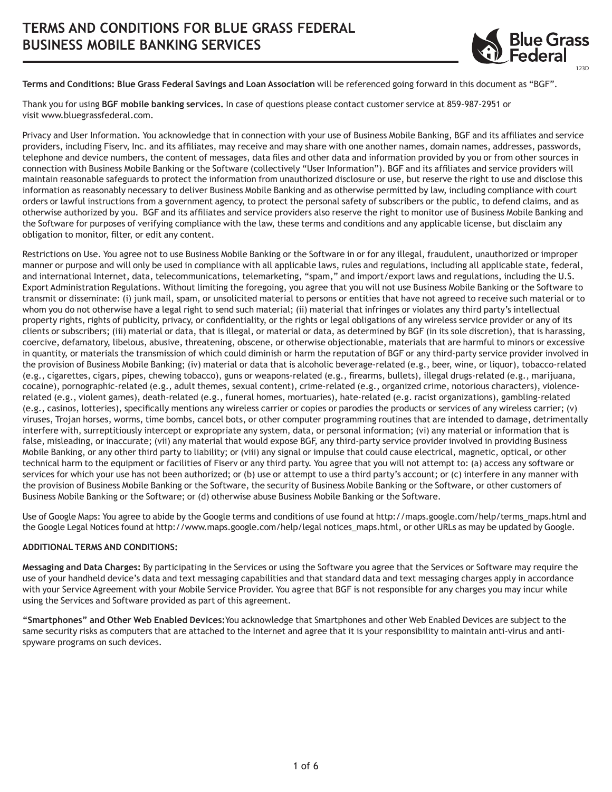

**Terms and Conditions: Blue Grass Federal Savings and Loan Association** will be referenced going forward in this document as "BGF".

Thank you for using **BGF mobile banking services.** In case of questions please contact customer service at 859-987-2951 or visit www.bluegrassfederal.com.

Privacy and User Information. You acknowledge that in connection with your use of Business Mobile Banking, BGF and its affiliates and service providers, including Fiserv, Inc. and its affiliates, may receive and may share with one another names, domain names, addresses, passwords, telephone and device numbers, the content of messages, data files and other data and information provided by you or from other sources in connection with Business Mobile Banking or the Software (collectively "User Information"). BGF and its affiliates and service providers will maintain reasonable safeguards to protect the information from unauthorized disclosure or use, but reserve the right to use and disclose this information as reasonably necessary to deliver Business Mobile Banking and as otherwise permitted by law, including compliance with court orders or lawful instructions from a government agency, to protect the personal safety of subscribers or the public, to defend claims, and as otherwise authorized by you. BGF and its affiliates and service providers also reserve the right to monitor use of Business Mobile Banking and the Software for purposes of verifying compliance with the law, these terms and conditions and any applicable license, but disclaim any obligation to monitor, filter, or edit any content.

Restrictions on Use. You agree not to use Business Mobile Banking or the Software in or for any illegal, fraudulent, unauthorized or improper manner or purpose and will only be used in compliance with all applicable laws, rules and regulations, including all applicable state, federal, and international Internet, data, telecommunications, telemarketing, "spam," and import/export laws and regulations, including the U.S. Export Administration Regulations. Without limiting the foregoing, you agree that you will not use Business Mobile Banking or the Software to transmit or disseminate: (i) junk mail, spam, or unsolicited material to persons or entities that have not agreed to receive such material or to whom you do not otherwise have a legal right to send such material; (ii) material that infringes or violates any third party's intellectual property rights, rights of publicity, privacy, or confidentiality, or the rights or legal obligations of any wireless service provider or any of its clients or subscribers; (iii) material or data, that is illegal, or material or data, as determined by BGF (in its sole discretion), that is harassing, coercive, defamatory, libelous, abusive, threatening, obscene, or otherwise objectionable, materials that are harmful to minors or excessive in quantity, or materials the transmission of which could diminish or harm the reputation of BGF or any third-party service provider involved in the provision of Business Mobile Banking; (iv) material or data that is alcoholic beverage-related (e.g., beer, wine, or liquor), tobacco-related (e.g., cigarettes, cigars, pipes, chewing tobacco), guns or weapons-related (e.g., firearms, bullets), illegal drugs-related (e.g., marijuana, cocaine), pornographic-related (e.g., adult themes, sexual content), crime-related (e.g., organized crime, notorious characters), violencerelated (e.g., violent games), death-related (e.g., funeral homes, mortuaries), hate-related (e.g. racist organizations), gambling-related (e.g., casinos, lotteries), specifically mentions any wireless carrier or copies or parodies the products or services of any wireless carrier; (v) viruses, Trojan horses, worms, time bombs, cancel bots, or other computer programming routines that are intended to damage, detrimentally interfere with, surreptitiously intercept or expropriate any system, data, or personal information; (vi) any material or information that is false, misleading, or inaccurate; (vii) any material that would expose BGF, any third-party service provider involved in providing Business Mobile Banking, or any other third party to liability; or (viii) any signal or impulse that could cause electrical, magnetic, optical, or other technical harm to the equipment or facilities of Fiserv or any third party. You agree that you will not attempt to: (a) access any software or services for which your use has not been authorized; or (b) use or attempt to use a third party's account; or (c) interfere in any manner with the provision of Business Mobile Banking or the Software, the security of Business Mobile Banking or the Software, or other customers of Business Mobile Banking or the Software; or (d) otherwise abuse Business Mobile Banking or the Software.

Use of Google Maps: You agree to abide by the Google terms and conditions of use found at http://maps.google.com/help/terms\_maps.html and the Google Legal Notices found at http://www.maps.google.com/help/legal notices\_maps.html, or other URLs as may be updated by Google.

## **ADDITIONAL TERMS AND CONDITIONS:**

**Messaging and Data Charges:** By participating in the Services or using the Software you agree that the Services or Software may require the use of your handheld device's data and text messaging capabilities and that standard data and text messaging charges apply in accordance with your Service Agreement with your Mobile Service Provider. You agree that BGF is not responsible for any charges you may incur while using the Services and Software provided as part of this agreement.

**"Smartphones" and Other Web Enabled Devices:**You acknowledge that Smartphones and other Web Enabled Devices are subject to the same security risks as computers that are attached to the Internet and agree that it is your responsibility to maintain anti-virus and antispyware programs on such devices.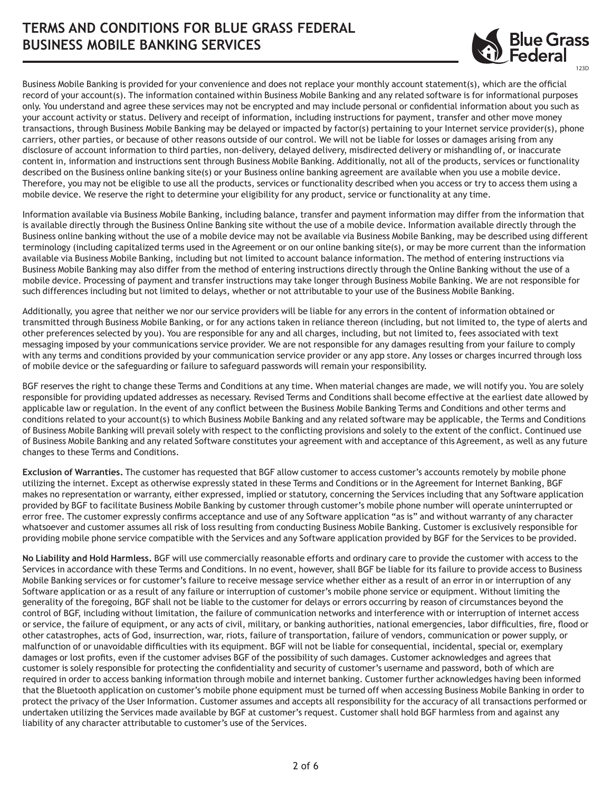## **TERMS AND CONDITIONS FOR BLUE GRASS FEDERAL BUSINESS MOBILE BANKING SERVICES**



Business Mobile Banking is provided for your convenience and does not replace your monthly account statement(s), which are the official record of your account(s). The information contained within Business Mobile Banking and any related software is for informational purposes only. You understand and agree these services may not be encrypted and may include personal or confidential information about you such as your account activity or status. Delivery and receipt of information, including instructions for payment, transfer and other move money transactions, through Business Mobile Banking may be delayed or impacted by factor(s) pertaining to your Internet service provider(s), phone carriers, other parties, or because of other reasons outside of our control. We will not be liable for losses or damages arising from any disclosure of account information to third parties, non-delivery, delayed delivery, misdirected delivery or mishandling of, or inaccurate content in, information and instructions sent through Business Mobile Banking. Additionally, not all of the products, services or functionality described on the Business online banking site(s) or your Business online banking agreement are available when you use a mobile device. Therefore, you may not be eligible to use all the products, services or functionality described when you access or try to access them using a mobile device. We reserve the right to determine your eligibility for any product, service or functionality at any time.

Information available via Business Mobile Banking, including balance, transfer and payment information may differ from the information that is available directly through the Business Online Banking site without the use of a mobile device. Information available directly through the Business online banking without the use of a mobile device may not be available via Business Mobile Banking, may be described using different terminology (including capitalized terms used in the Agreement or on our online banking site(s), or may be more current than the information available via Business Mobile Banking, including but not limited to account balance information. The method of entering instructions via Business Mobile Banking may also differ from the method of entering instructions directly through the Online Banking without the use of a mobile device. Processing of payment and transfer instructions may take longer through Business Mobile Banking. We are not responsible for such differences including but not limited to delays, whether or not attributable to your use of the Business Mobile Banking.

Additionally, you agree that neither we nor our service providers will be liable for any errors in the content of information obtained or transmitted through Business Mobile Banking, or for any actions taken in reliance thereon (including, but not limited to, the type of alerts and other preferences selected by you). You are responsible for any and all charges, including, but not limited to, fees associated with text messaging imposed by your communications service provider. We are not responsible for any damages resulting from your failure to comply with any terms and conditions provided by your communication service provider or any app store. Any losses or charges incurred through loss of mobile device or the safeguarding or failure to safeguard passwords will remain your responsibility.

BGF reserves the right to change these Terms and Conditions at any time. When material changes are made, we will notify you. You are solely responsible for providing updated addresses as necessary. Revised Terms and Conditions shall become effective at the earliest date allowed by applicable law or regulation. In the event of any conflict between the Business Mobile Banking Terms and Conditions and other terms and conditions related to your account(s) to which Business Mobile Banking and any related software may be applicable, the Terms and Conditions of Business Mobile Banking will prevail solely with respect to the conflicting provisions and solely to the extent of the conflict. Continued use of Business Mobile Banking and any related Software constitutes your agreement with and acceptance of this Agreement, as well as any future changes to these Terms and Conditions.

**Exclusion of Warranties.** The customer has requested that BGF allow customer to access customer's accounts remotely by mobile phone utilizing the internet. Except as otherwise expressly stated in these Terms and Conditions or in the Agreement for Internet Banking, BGF makes no representation or warranty, either expressed, implied or statutory, concerning the Services including that any Software application provided by BGF to facilitate Business Mobile Banking by customer through customer's mobile phone number will operate uninterrupted or error free. The customer expressly confirms acceptance and use of any Software application "as is" and without warranty of any character whatsoever and customer assumes all risk of loss resulting from conducting Business Mobile Banking. Customer is exclusively responsible for providing mobile phone service compatible with the Services and any Software application provided by BGF for the Services to be provided.

**No Liability and Hold Harmless.** BGF will use commercially reasonable efforts and ordinary care to provide the customer with access to the Services in accordance with these Terms and Conditions. In no event, however, shall BGF be liable for its failure to provide access to Business Mobile Banking services or for customer's failure to receive message service whether either as a result of an error in or interruption of any Software application or as a result of any failure or interruption of customer's mobile phone service or equipment. Without limiting the generality of the foregoing, BGF shall not be liable to the customer for delays or errors occurring by reason of circumstances beyond the control of BGF, including without limitation, the failure of communication networks and interference with or interruption of internet access or service, the failure of equipment, or any acts of civil, military, or banking authorities, national emergencies, labor difficulties, fire, flood or other catastrophes, acts of God, insurrection, war, riots, failure of transportation, failure of vendors, communication or power supply, or malfunction of or unavoidable difficulties with its equipment. BGF will not be liable for consequential, incidental, special or, exemplary damages or lost profits, even if the customer advises BGF of the possibility of such damages. Customer acknowledges and agrees that customer is solely responsible for protecting the confidentiality and security of customer's username and password, both of which are required in order to access banking information through mobile and internet banking. Customer further acknowledges having been informed that the Bluetooth application on customer's mobile phone equipment must be turned off when accessing Business Mobile Banking in order to protect the privacy of the User Information. Customer assumes and accepts all responsibility for the accuracy of all transactions performed or undertaken utilizing the Services made available by BGF at customer's request. Customer shall hold BGF harmless from and against any liability of any character attributable to customer's use of the Services.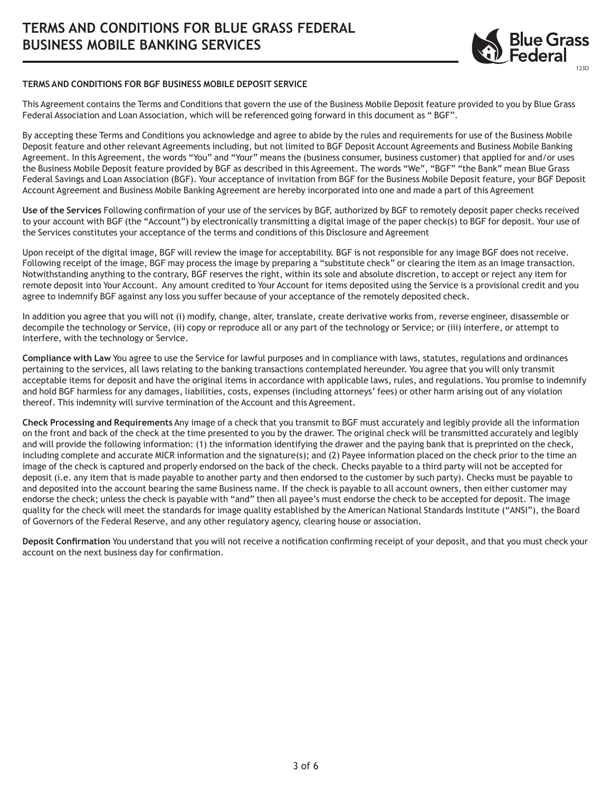

## **TERMS AND CONDITIONS FOR BGF BUSINESS MOBILE DEPOSIT SERVICE**

This Agreement contains the Terms and Conditions that govern the use of the Business Mobile Deposit feature provided to you by Blue Grass Federal Association and Loan Association, which will be referenced going forward in this document as " BGF".

By accepting these Terms and Conditions you acknowledge and agree to abide by the rules and requirements for use of the Business Mobile Deposit feature and other relevant Agreements including, but not limited to BGF Deposit Account Agreements and Business Mobile Banking Agreement. In this Agreement, the words "You" and "Your" means the (business consumer, business customer) that applied for and/or uses the Business Mobile Deposit feature provided by BGF as described in this Agreement. The words "We", "BGF" "the Bank" mean Blue Grass Federal Savings and Loan Association (BGF). Your acceptance of invitation from BGF for the Business Mobile Deposit feature, your BGF Deposit Account Agreement and Business Mobile Banking Agreement are hereby incorporated into one and made a part of this Agreement

**Use of the Services** Following confirmation of your use of the services by BGF, authorized by BGF to remotely deposit paper checks received to your account with BGF (the "Account") by electronically transmitting a digital image of the paper check(s) to BGF for deposit. Your use of the Services constitutes your acceptance of the terms and conditions of this Disclosure and Agreement

Upon receipt of the digital image, BGF will review the image for acceptability. BGF is not responsible for any image BGF does not receive. Following receipt of the image, BGF may process the image by preparing a "substitute check" or clearing the item as an image transaction. Notwithstanding anything to the contrary, BGF reserves the right, within its sole and absolute discretion, to accept or reject any item for remote deposit into Your Account. Any amount credited to Your Account for items deposited using the Service is a provisional credit and you agree to indemnify BGF against any loss you suffer because of your acceptance of the remotely deposited check.

In addition you agree that you will not (i) modify, change, alter, translate, create derivative works from, reverse engineer, disassemble or decompile the technology or Service, (ii) copy or reproduce all or any part of the technology or Service; or (iii) interfere, or attempt to interfere, with the technology or Service.

**Compliance with Law** You agree to use the Service for lawful purposes and in compliance with laws, statutes, regulations and ordinances pertaining to the services, all laws relating to the banking transactions contemplated hereunder. You agree that you will only transmit acceptable items for deposit and have the original items in accordance with applicable laws, rules, and regulations. You promise to indemnify and hold BGF harmless for any damages, liabilities, costs, expenses (including attorneys' fees) or other harm arising out of any violation thereof. This indemnity will survive termination of the Account and this Agreement.

**Check Processing and Requirements** Any image of a check that you transmit to BGF must accurately and legibly provide all the information on the front and back of the check at the time presented to you by the drawer. The original check will be transmitted accurately and legibly and will provide the following information: (1) the information identifying the drawer and the paying bank that is preprinted on the check, including complete and accurate MICR information and the signature(s); and (2) Payee information placed on the check prior to the time an image of the check is captured and properly endorsed on the back of the check. Checks payable to a third party will not be accepted for deposit (i.e. any item that is made payable to another party and then endorsed to the customer by such party). Checks must be payable to and deposited into the account bearing the same Business name. If the check is payable to all account owners, then either customer may endorse the check; unless the check is payable with "and" then all payee's must endorse the check to be accepted for deposit. The image quality for the check will meet the standards for image quality established by the American National Standards Institute ("ANSI"), the Board of Governors of the Federal Reserve, and any other regulatory agency, clearing house or association.

**Deposit Confirmation** You understand that you will not receive a notification confirming receipt of your deposit, and that you must check your account on the next business day for confirmation.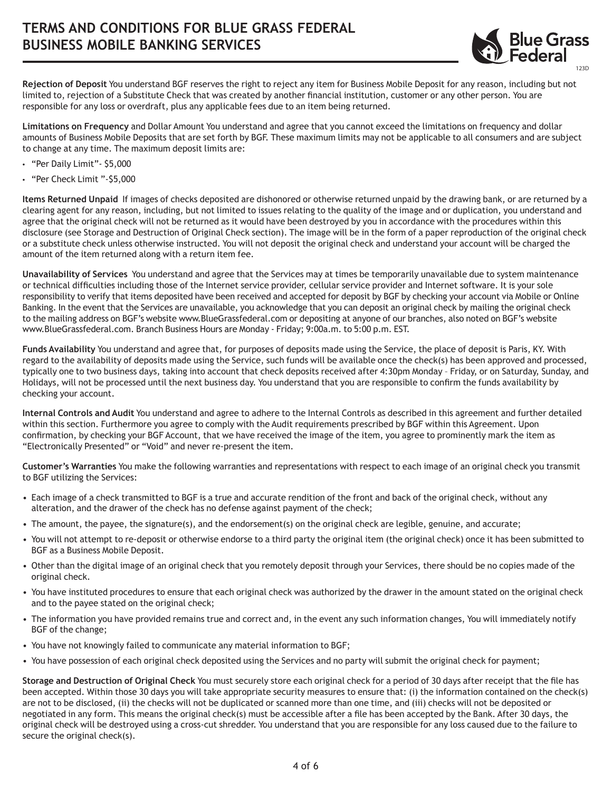

**Rejection of Deposit** You understand BGF reserves the right to reject any item for Business Mobile Deposit for any reason, including but not limited to, rejection of a Substitute Check that was created by another financial institution, customer or any other person. You are responsible for any loss or overdraft, plus any applicable fees due to an item being returned.

**Limitations on Frequency** and Dollar Amount You understand and agree that you cannot exceed the limitations on frequency and dollar amounts of Business Mobile Deposits that are set forth by BGF. These maximum limits may not be applicable to all consumers and are subject to change at any time. The maximum deposit limits are:

- "Per Daily Limit"- \$5,000
- "Per Check Limit "-\$5,000

**Items Returned Unpaid** If images of checks deposited are dishonored or otherwise returned unpaid by the drawing bank, or are returned by a clearing agent for any reason, including, but not limited to issues relating to the quality of the image and or duplication, you understand and agree that the original check will not be returned as it would have been destroyed by you in accordance with the procedures within this disclosure (see Storage and Destruction of Original Check section). The image will be in the form of a paper reproduction of the original check or a substitute check unless otherwise instructed. You will not deposit the original check and understand your account will be charged the amount of the item returned along with a return item fee.

**Unavailability of Services** You understand and agree that the Services may at times be temporarily unavailable due to system maintenance or technical difficulties including those of the Internet service provider, cellular service provider and Internet software. It is your sole responsibility to verify that items deposited have been received and accepted for deposit by BGF by checking your account via Mobile or Online Banking. In the event that the Services are unavailable, you acknowledge that you can deposit an original check by mailing the original check to the mailing address on BGF's website www.BlueGrassfederal.com or depositing at anyone of our branches, also noted on BGF's website www.BlueGrassfederal.com. Branch Business Hours are Monday - Friday; 9:00a.m. to 5:00 p.m. EST.

**Funds Availability** You understand and agree that, for purposes of deposits made using the Service, the place of deposit is Paris, KY. With regard to the availability of deposits made using the Service, such funds will be available once the check(s) has been approved and processed, typically one to two business days, taking into account that check deposits received after 4:30pm Monday – Friday, or on Saturday, Sunday, and Holidays, will not be processed until the next business day. You understand that you are responsible to confirm the funds availability by checking your account.

**Internal Controls and Audit** You understand and agree to adhere to the Internal Controls as described in this agreement and further detailed within this section. Furthermore you agree to comply with the Audit requirements prescribed by BGF within this Agreement. Upon confirmation, by checking your BGF Account, that we have received the image of the item, you agree to prominently mark the item as "Electronically Presented" or "Void" and never re-present the item.

**Customer's Warranties** You make the following warranties and representations with respect to each image of an original check you transmit to BGF utilizing the Services:

- Each image of a check transmitted to BGF is a true and accurate rendition of the front and back of the original check, without any alteration, and the drawer of the check has no defense against payment of the check;
- The amount, the payee, the signature(s), and the endorsement(s) on the original check are legible, genuine, and accurate;
- You will not attempt to re-deposit or otherwise endorse to a third party the original item (the original check) once it has been submitted to BGF as a Business Mobile Deposit.
- Other than the digital image of an original check that you remotely deposit through your Services, there should be no copies made of the original check.
- You have instituted procedures to ensure that each original check was authorized by the drawer in the amount stated on the original check and to the payee stated on the original check;
- The information you have provided remains true and correct and, in the event any such information changes, You will immediately notify BGF of the change;
- You have not knowingly failed to communicate any material information to BGF;
- You have possession of each original check deposited using the Services and no party will submit the original check for payment;

**Storage and Destruction of Original Check** You must securely store each original check for a period of 30 days after receipt that the file has been accepted. Within those 30 days you will take appropriate security measures to ensure that: (i) the information contained on the check(s) are not to be disclosed, (ii) the checks will not be duplicated or scanned more than one time, and (iii) checks will not be deposited or negotiated in any form. This means the original check(s) must be accessible after a file has been accepted by the Bank. After 30 days, the original check will be destroyed using a cross-cut shredder. You understand that you are responsible for any loss caused due to the failure to secure the original check(s).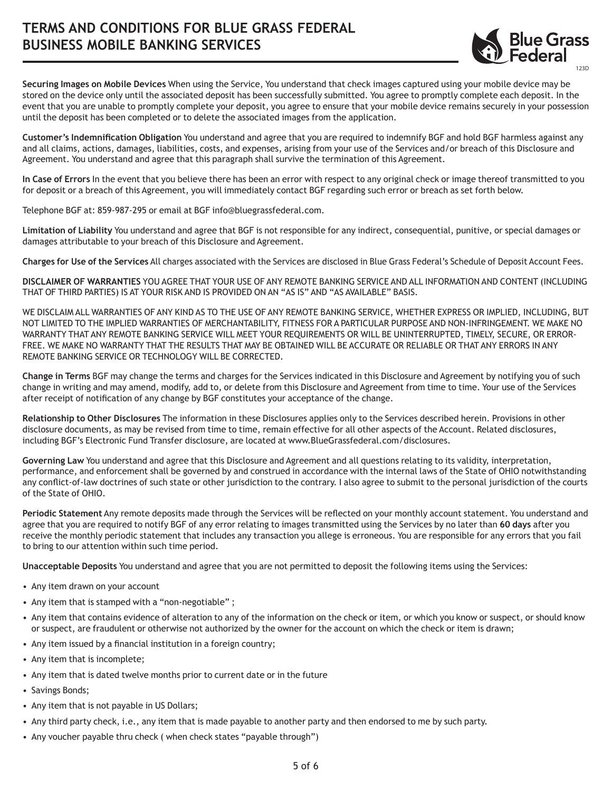

**Securing Images on Mobile Devices** When using the Service, You understand that check images captured using your mobile device may be stored on the device only until the associated deposit has been successfully submitted. You agree to promptly complete each deposit. In the event that you are unable to promptly complete your deposit, you agree to ensure that your mobile device remains securely in your possession until the deposit has been completed or to delete the associated images from the application.

**Customer's Indemnification Obligation** You understand and agree that you are required to indemnify BGF and hold BGF harmless against any and all claims, actions, damages, liabilities, costs, and expenses, arising from your use of the Services and/or breach of this Disclosure and Agreement. You understand and agree that this paragraph shall survive the termination of this Agreement.

**In Case of Errors** In the event that you believe there has been an error with respect to any original check or image thereof transmitted to you for deposit or a breach of this Agreement, you will immediately contact BGF regarding such error or breach as set forth below.

Telephone BGF at: 859-987-295 or email at BGF info@bluegrassfederal.com.

**Limitation of Liability** You understand and agree that BGF is not responsible for any indirect, consequential, punitive, or special damages or damages attributable to your breach of this Disclosure and Agreement.

**Charges for Use of the Services** All charges associated with the Services are disclosed in Blue Grass Federal's Schedule of Deposit Account Fees.

**DISCLAIMER OF WARRANTIES** YOU AGREE THAT YOUR USE OF ANY REMOTE BANKING SERVICE AND ALL INFORMATION AND CONTENT (INCLUDING THAT OF THIRD PARTIES) IS AT YOUR RISK AND IS PROVIDED ON AN "AS IS" AND "AS AVAILABLE" BASIS.

WE DISCLAIM ALL WARRANTIES OF ANY KIND AS TO THE USE OF ANY REMOTE BANKING SERVICE, WHETHER EXPRESS OR IMPLIED, INCLUDING, BUT NOT LIMITED TO THE IMPLIED WARRANTIES OF MERCHANTABILITY, FITNESS FOR A PARTICULAR PURPOSE AND NON-INFRINGEMENT. WE MAKE NO WARRANTY THAT ANY REMOTE BANKING SERVICE WILL MEET YOUR REQUIREMENTS OR WILL BE UNINTERRUPTED, TIMELY, SECURE, OR ERROR-FREE. WE MAKE NO WARRANTY THAT THE RESULTS THAT MAY BE OBTAINED WILL BE ACCURATE OR RELIABLE OR THAT ANY ERRORS IN ANY REMOTE BANKING SERVICE OR TECHNOLOGY WILL BE CORRECTED.

**Change in Terms** BGF may change the terms and charges for the Services indicated in this Disclosure and Agreement by notifying you of such change in writing and may amend, modify, add to, or delete from this Disclosure and Agreement from time to time. Your use of the Services after receipt of notification of any change by BGF constitutes your acceptance of the change.

**Relationship to Other Disclosures** The information in these Disclosures applies only to the Services described herein. Provisions in other disclosure documents, as may be revised from time to time, remain effective for all other aspects of the Account. Related disclosures, including BGF's Electronic Fund Transfer disclosure, are located at www.BlueGrassfederal.com/disclosures.

**Governing Law** You understand and agree that this Disclosure and Agreement and all questions relating to its validity, interpretation, performance, and enforcement shall be governed by and construed in accordance with the internal laws of the State of OHIO notwithstanding any conflict-of-law doctrines of such state or other jurisdiction to the contrary. I also agree to submit to the personal jurisdiction of the courts of the State of OHIO.

**Periodic Statement** Any remote deposits made through the Services will be reflected on your monthly account statement. You understand and agree that you are required to notify BGF of any error relating to images transmitted using the Services by no later than **60 days** after you receive the monthly periodic statement that includes any transaction you allege is erroneous. You are responsible for any errors that you fail to bring to our attention within such time period.

**Unacceptable Deposits** You understand and agree that you are not permitted to deposit the following items using the Services:

- Any item drawn on your account
- Any item that is stamped with a "non-negotiable" ;
- Any item that contains evidence of alteration to any of the information on the check or item, or which you know or suspect, or should know or suspect, are fraudulent or otherwise not authorized by the owner for the account on which the check or item is drawn;
- Any item issued by a financial institution in a foreign country;
- Any item that is incomplete;
- Any item that is dated twelve months prior to current date or in the future
- Savings Bonds;
- Any item that is not payable in US Dollars;
- Any third party check, i.e., any item that is made payable to another party and then endorsed to me by such party.
- Any voucher payable thru check ( when check states "payable through")